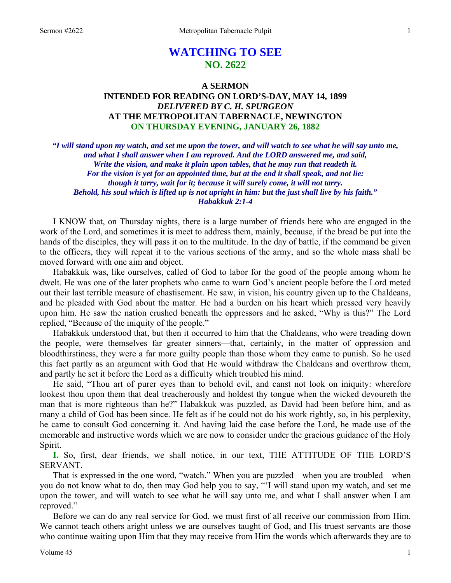# **WATCHING TO SEE NO. 2622**

# **A SERMON INTENDED FOR READING ON LORD'S-DAY, MAY 14, 1899**  *DELIVERED BY C. H. SPURGEON*  **AT THE METROPOLITAN TABERNACLE, NEWINGTON ON THURSDAY EVENING, JANUARY 26, 1882**

*"I will stand upon my watch, and set me upon the tower, and will watch to see what he will say unto me, and what I shall answer when I am reproved. And the LORD answered me, and said, Write the vision, and make it plain upon tables, that he may run that readeth it. For the vision is yet for an appointed time, but at the end it shall speak, and not lie: though it tarry, wait for it; because it will surely come, it will not tarry. Behold, his soul which is lifted up is not upright in him: but the just shall live by his faith." Habakkuk 2:1-4* 

I KNOW that, on Thursday nights, there is a large number of friends here who are engaged in the work of the Lord, and sometimes it is meet to address them, mainly, because, if the bread be put into the hands of the disciples, they will pass it on to the multitude. In the day of battle, if the command be given to the officers, they will repeat it to the various sections of the army, and so the whole mass shall be moved forward with one aim and object.

 Habakkuk was, like ourselves, called of God to labor for the good of the people among whom he dwelt. He was one of the later prophets who came to warn God's ancient people before the Lord meted out their last terrible measure of chastisement. He saw, in vision, his country given up to the Chaldeans, and he pleaded with God about the matter. He had a burden on his heart which pressed very heavily upon him. He saw the nation crushed beneath the oppressors and he asked, "Why is this?" The Lord replied, "Because of the iniquity of the people."

 Habakkuk understood that, but then it occurred to him that the Chaldeans, who were treading down the people, were themselves far greater sinners—that, certainly, in the matter of oppression and bloodthirstiness, they were a far more guilty people than those whom they came to punish. So he used this fact partly as an argument with God that He would withdraw the Chaldeans and overthrow them, and partly he set it before the Lord as a difficulty which troubled his mind.

 He said, "Thou art of purer eyes than to behold evil, and canst not look on iniquity: wherefore lookest thou upon them that deal treacherously and holdest thy tongue when the wicked devoureth the man that is more righteous than he?" Habakkuk was puzzled, as David had been before him, and as many a child of God has been since. He felt as if he could not do his work rightly, so, in his perplexity, he came to consult God concerning it. And having laid the case before the Lord, he made use of the memorable and instructive words which we are now to consider under the gracious guidance of the Holy Spirit.

**I.** So, first, dear friends, we shall notice, in our text, THE ATTITUDE OF THE LORD'S SERVANT.

 That is expressed in the one word, "watch." When you are puzzled—when you are troubled—when you do not know what to do, then may God help you to say, "'I will stand upon my watch, and set me upon the tower, and will watch to see what he will say unto me, and what I shall answer when I am reproved."

 Before we can do any real service for God, we must first of all receive our commission from Him. We cannot teach others aright unless we are ourselves taught of God, and His truest servants are those who continue waiting upon Him that they may receive from Him the words which afterwards they are to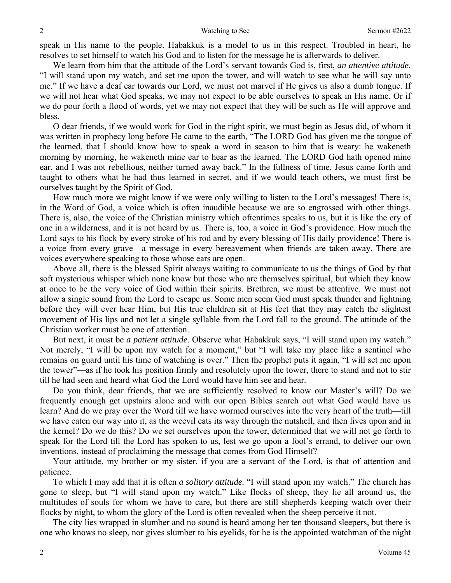speak in His name to the people. Habakkuk is a model to us in this respect. Troubled in heart, he resolves to set himself to watch his God and to listen for the message he is afterwards to deliver.

 We learn from him that the attitude of the Lord's servant towards God is, first, *an attentive attitude.* "I will stand upon my watch, and set me upon the tower, and will watch to see what he will say unto me." If we have a deaf ear towards our Lord, we must not marvel if He gives us also a dumb tongue. If we will not hear what God speaks, we may not expect to be able ourselves to speak in His name. Or if we do pour forth a flood of words, yet we may not expect that they will be such as He will approve and bless.

 O dear friends, if we would work for God in the right spirit, we must begin as Jesus did, of whom it was written in prophecy long before He came to the earth, "The LORD God has given me the tongue of the learned, that I should know how to speak a word in season to him that is weary: he wakeneth morning by morning, he wakeneth mine ear to hear as the learned. The LORD God hath opened mine ear, and I was not rebellious, neither turned away back." In the fullness of time, Jesus came forth and taught to others what he had thus learned in secret, and if we would teach others, we must first be ourselves taught by the Spirit of God.

 How much more we might know if we were only willing to listen to the Lord's messages! There is, in the Word of God, a voice which is often inaudible because we are so engrossed with other things. There is, also, the voice of the Christian ministry which oftentimes speaks to us, but it is like the cry of one in a wilderness, and it is not heard by us. There is, too, a voice in God's providence. How much the Lord says to his flock by every stroke of his rod and by every blessing of His daily providence! There is a voice from every grave—a message in every bereavement when friends are taken away. There are voices everywhere speaking to those whose ears are open.

 Above all, there is the blessed Spirit always waiting to communicate to us the things of God by that soft mysterious whisper which none know but those who are themselves spiritual, but which they know at once to be the very voice of God within their spirits. Brethren, we must be attentive. We must not allow a single sound from the Lord to escape us. Some men seem God must speak thunder and lightning before they will ever hear Him, but His true children sit at His feet that they may catch the slightest movement of His lips and not let a single syllable from the Lord fall to the ground. The attitude of the Christian worker must be one of attention.

 But next, it must be *a patient attitude*. Observe what Habakkuk says, "I will stand upon my watch." Not merely, "I will be upon my watch for a moment," but "I will take my place like a sentinel who remains on guard until his time of watching is over." Then the prophet puts it again, "I will set me upon the tower"—as if he took his position firmly and resolutely upon the tower, there to stand and not to stir till he had seen and heard what God the Lord would have him see and hear.

 Do you think, dear friends, that we are sufficiently resolved to know our Master's will? Do we frequently enough get upstairs alone and with our open Bibles search out what God would have us learn? And do we pray over the Word till we have wormed ourselves into the very heart of the truth—till we have eaten our way into it, as the weevil eats its way through the nutshell, and then lives upon and in the kernel? Do we do this? Do we set ourselves upon the tower, determined that we will not go forth to speak for the Lord till the Lord has spoken to us, lest we go upon a fool's errand, to deliver our own inventions, instead of proclaiming the message that comes from God Himself?

 Your attitude, my brother or my sister, if you are a servant of the Lord, is that of attention and patience.

 To which I may add that it is often *a solitary attitude.* "I will stand upon my watch." The church has gone to sleep, but "I will stand upon my watch." Like flocks of sheep, they lie all around us, the multitudes of souls for whom we have to care, but there are still shepherds keeping watch over their flocks by night, to whom the glory of the Lord is often revealed when the sheep perceive it not.

 The city lies wrapped in slumber and no sound is heard among her ten thousand sleepers, but there is one who knows no sleep, nor gives slumber to his eyelids, for he is the appointed watchman of the night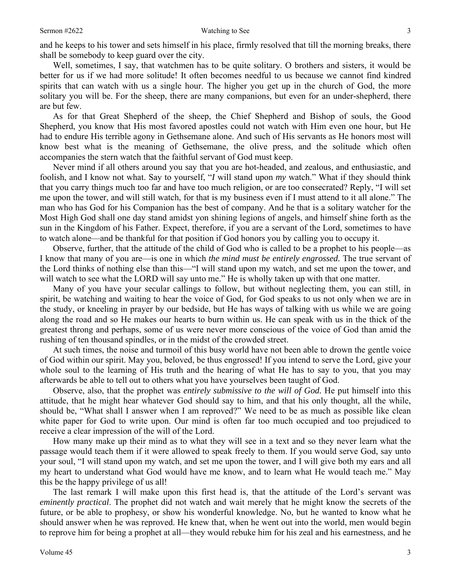and he keeps to his tower and sets himself in his place, firmly resolved that till the morning breaks, there shall be somebody to keep guard over the city.

 Well, sometimes, I say, that watchmen has to be quite solitary. O brothers and sisters, it would be better for us if we had more solitude! It often becomes needful to us because we cannot find kindred spirits that can watch with us a single hour. The higher you get up in the church of God, the more solitary you will be. For the sheep, there are many companions, but even for an under-shepherd, there are but few.

 As for that Great Shepherd of the sheep, the Chief Shepherd and Bishop of souls, the Good Shepherd, you know that His most favored apostles could not watch with Him even one hour, but He had to endure His terrible agony in Gethsemane alone. And such of His servants as He honors most will know best what is the meaning of Gethsemane, the olive press, and the solitude which often accompanies the stern watch that the faithful servant of God must keep.

 Never mind if all others around you say that you are hot-headed, and zealous, and enthusiastic, and foolish, and I know not what. Say to yourself, "*I* will stand upon *my* watch." What if they should think that you carry things much too far and have too much religion, or are too consecrated? Reply, "I will set me upon the tower, and will still watch, for that is my business even if I must attend to it all alone." The man who has God for his Companion has the best of company. And he that is a solitary watcher for the Most High God shall one day stand amidst yon shining legions of angels, and himself shine forth as the sun in the Kingdom of his Father. Expect, therefore, if you are a servant of the Lord, sometimes to have to watch alone—and be thankful for that position if God honors you by calling you to occupy it.

 Observe, further, that the attitude of the child of God who is called to be a prophet to his people—as I know that many of you are—is one in which *the mind must be entirely engrossed.* The true servant of the Lord thinks of nothing else than this—"I will stand upon my watch, and set me upon the tower, and will watch to see what the LORD will say unto me." He is wholly taken up with that one matter.

 Many of you have your secular callings to follow, but without neglecting them, you can still, in spirit, be watching and waiting to hear the voice of God, for God speaks to us not only when we are in the study, or kneeling in prayer by our bedside, but He has ways of talking with us while we are going along the road and so He makes our hearts to burn within us. He can speak with us in the thick of the greatest throng and perhaps, some of us were never more conscious of the voice of God than amid the rushing of ten thousand spindles, or in the midst of the crowded street.

 At such times, the noise and turmoil of this busy world have not been able to drown the gentle voice of God within our spirit. May you, beloved, be thus engrossed! If you intend to serve the Lord, give your whole soul to the learning of His truth and the hearing of what He has to say to you, that you may afterwards be able to tell out to others what you have yourselves been taught of God.

 Observe, also, that the prophet was *entirely submissive to the will of God.* He put himself into this attitude, that he might hear whatever God should say to him, and that his only thought, all the while, should be, "What shall I answer when I am reproved?" We need to be as much as possible like clean white paper for God to write upon. Our mind is often far too much occupied and too prejudiced to receive a clear impression of the will of the Lord.

 How many make up their mind as to what they will see in a text and so they never learn what the passage would teach them if it were allowed to speak freely to them. If you would serve God, say unto your soul, "I will stand upon my watch, and set me upon the tower, and I will give both my ears and all my heart to understand what God would have me know, and to learn what He would teach me." May this be the happy privilege of us all!

 The last remark I will make upon this first head is, that the attitude of the Lord's servant was *eminently practical*. The prophet did not watch and wait merely that he might know the secrets of the future, or be able to prophesy, or show his wonderful knowledge. No, but he wanted to know what he should answer when he was reproved. He knew that, when he went out into the world, men would begin to reprove him for being a prophet at all—they would rebuke him for his zeal and his earnestness, and he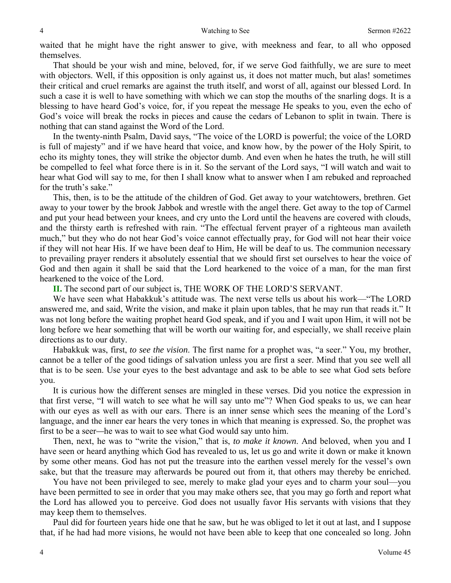waited that he might have the right answer to give, with meekness and fear, to all who opposed themselves.

 That should be your wish and mine, beloved, for, if we serve God faithfully, we are sure to meet with objectors. Well, if this opposition is only against us, it does not matter much, but alas! sometimes their critical and cruel remarks are against the truth itself, and worst of all, against our blessed Lord. In such a case it is well to have something with which we can stop the mouths of the snarling dogs. It is a blessing to have heard God's voice, for, if you repeat the message He speaks to you, even the echo of God's voice will break the rocks in pieces and cause the cedars of Lebanon to split in twain. There is nothing that can stand against the Word of the Lord.

 In the twenty-ninth Psalm, David says, "The voice of the LORD is powerful; the voice of the LORD is full of majesty" and if we have heard that voice, and know how, by the power of the Holy Spirit, to echo its mighty tones, they will strike the objector dumb. And even when he hates the truth, he will still be compelled to feel what force there is in it. So the servant of the Lord says, "I will watch and wait to hear what God will say to me, for then I shall know what to answer when I am rebuked and reproached for the truth's sake."

 This, then, is to be the attitude of the children of God. Get away to your watchtowers, brethren. Get away to your tower by the brook Jabbok and wrestle with the angel there. Get away to the top of Carmel and put your head between your knees, and cry unto the Lord until the heavens are covered with clouds, and the thirsty earth is refreshed with rain. "The effectual fervent prayer of a righteous man availeth much," but they who do not hear God's voice cannot effectually pray, for God will not hear their voice if they will not hear His. If we have been deaf to Him, He will be deaf to us. The communion necessary to prevailing prayer renders it absolutely essential that we should first set ourselves to hear the voice of God and then again it shall be said that the Lord hearkened to the voice of a man, for the man first hearkened to the voice of the Lord.

**II.** The second part of our subject is, THE WORK OF THE LORD'S SERVANT.

 We have seen what Habakkuk's attitude was. The next verse tells us about his work—"The LORD answered me, and said, Write the vision, and make it plain upon tables, that he may run that reads it." It was not long before the waiting prophet heard God speak, and if you and I wait upon Him, it will not be long before we hear something that will be worth our waiting for, and especially, we shall receive plain directions as to our duty.

 Habakkuk was, first, *to see the vision*. The first name for a prophet was, "a seer." You, my brother, cannot be a teller of the good tidings of salvation unless you are first a seer. Mind that you see well all that is to be seen. Use your eyes to the best advantage and ask to be able to see what God sets before you.

 It is curious how the different senses are mingled in these verses. Did you notice the expression in that first verse, "I will watch to see what he will say unto me"? When God speaks to us, we can hear with our eyes as well as with our ears. There is an inner sense which sees the meaning of the Lord's language, and the inner ear hears the very tones in which that meaning is expressed. So, the prophet was first to be a seer*—*he was to wait to see what God would say unto him.

 Then, next, he was to "write the vision," that is, *to make it known*. And beloved, when you and I have seen or heard anything which God has revealed to us, let us go and write it down or make it known by some other means. God has not put the treasure into the earthen vessel merely for the vessel's own sake, but that the treasure may afterwards be poured out from it, that others may thereby be enriched.

 You have not been privileged to see, merely to make glad your eyes and to charm your soul—you have been permitted to see in order that you may make others see, that you may go forth and report what the Lord has allowed you to perceive. God does not usually favor His servants with visions that they may keep them to themselves.

 Paul did for fourteen years hide one that he saw, but he was obliged to let it out at last, and I suppose that, if he had had more visions, he would not have been able to keep that one concealed so long. John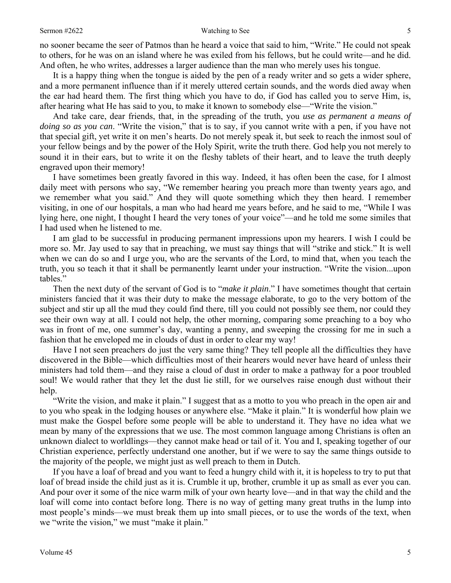no sooner became the seer of Patmos than he heard a voice that said to him, "Write." He could not speak to others, for he was on an island where he was exiled from his fellows, but he could write—and he did. And often, he who writes, addresses a larger audience than the man who merely uses his tongue.

 It is a happy thing when the tongue is aided by the pen of a ready writer and so gets a wider sphere, and a more permanent influence than if it merely uttered certain sounds, and the words died away when the ear had heard them. The first thing which you have to do, if God has called you to serve Him, is, after hearing what He has said to you, to make it known to somebody else—"Write the vision."

 And take care, dear friends, that, in the spreading of the truth, you *use as permanent a means of doing so as you can*. "Write the vision," that is to say, if you cannot write with a pen, if you have not that special gift, yet write it on men's hearts. Do not merely speak it, but seek to reach the inmost soul of your fellow beings and by the power of the Holy Spirit, write the truth there. God help you not merely to sound it in their ears, but to write it on the fleshy tablets of their heart, and to leave the truth deeply engraved upon their memory!

 I have sometimes been greatly favored in this way. Indeed, it has often been the case, for I almost daily meet with persons who say, "We remember hearing you preach more than twenty years ago, and we remember what you said." And they will quote something which they then heard. I remember visiting, in one of our hospitals, a man who had heard me years before, and he said to me, "While I was lying here, one night, I thought I heard the very tones of your voice"—and he told me some similes that I had used when he listened to me.

 I am glad to be successful in producing permanent impressions upon my hearers. I wish I could be more so. Mr. Jay used to say that in preaching, we must say things that will "strike and stick." It is well when we can do so and I urge you, who are the servants of the Lord, to mind that, when you teach the truth, you so teach it that it shall be permanently learnt under your instruction. "Write the vision...upon tables."

 Then the next duty of the servant of God is to "*make it plain*." I have sometimes thought that certain ministers fancied that it was their duty to make the message elaborate, to go to the very bottom of the subject and stir up all the mud they could find there, till you could not possibly see them, nor could they see their own way at all. I could not help, the other morning, comparing some preaching to a boy who was in front of me, one summer's day, wanting a penny, and sweeping the crossing for me in such a fashion that he enveloped me in clouds of dust in order to clear my way!

 Have I not seen preachers do just the very same thing? They tell people all the difficulties they have discovered in the Bible—which difficulties most of their hearers would never have heard of unless their ministers had told them—and they raise a cloud of dust in order to make a pathway for a poor troubled soul! We would rather that they let the dust lie still, for we ourselves raise enough dust without their help.

 "Write the vision, and make it plain." I suggest that as a motto to you who preach in the open air and to you who speak in the lodging houses or anywhere else. "Make it plain." It is wonderful how plain we must make the Gospel before some people will be able to understand it. They have no idea what we mean by many of the expressions that we use. The most common language among Christians is often an unknown dialect to worldlings—they cannot make head or tail of it. You and I, speaking together of our Christian experience, perfectly understand one another, but if we were to say the same things outside to the majority of the people, we might just as well preach to them in Dutch.

 If you have a loaf of bread and you want to feed a hungry child with it, it is hopeless to try to put that loaf of bread inside the child just as it is. Crumble it up, brother, crumble it up as small as ever you can. And pour over it some of the nice warm milk of your own hearty love—and in that way the child and the loaf will come into contact before long. There is no way of getting many great truths in the lump into most people's minds—we must break them up into small pieces, or to use the words of the text, when we "write the vision," we must "make it plain."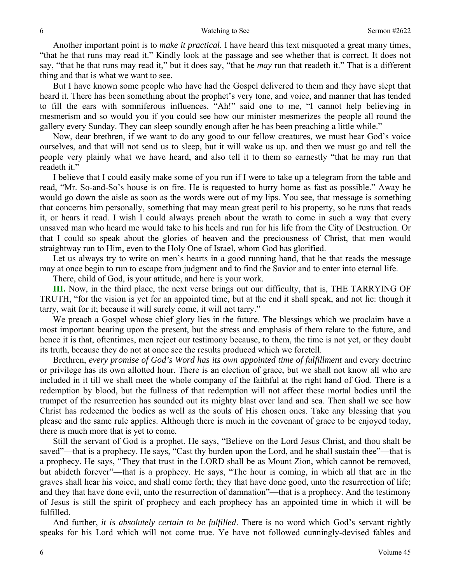Another important point is to *make it practical.* I have heard this text misquoted a great many times, "that he that runs may read it." Kindly look at the passage and see whether that is correct. It does not say, "that he that runs may read it," but it does say, "that he *may* run that readeth it." That is a different thing and that is what we want to see.

 But I have known some people who have had the Gospel delivered to them and they have slept that heard it. There has been something about the prophet's very tone, and voice, and manner that has tended to fill the ears with somniferous influences. "Ah!" said one to me, "I cannot help believing in mesmerism and so would you if you could see how our minister mesmerizes the people all round the gallery every Sunday. They can sleep soundly enough after he has been preaching a little while."

 Now, dear brethren, if we want to do any good to our fellow creatures, we must hear God's voice ourselves, and that will not send us to sleep, but it will wake us up. and then we must go and tell the people very plainly what we have heard, and also tell it to them so earnestly "that he may run that readeth it."

 I believe that I could easily make some of you run if I were to take up a telegram from the table and read, "Mr. So-and-So's house is on fire. He is requested to hurry home as fast as possible." Away he would go down the aisle as soon as the words were out of my lips. You see, that message is something that concerns him personally, something that may mean great peril to his property, so he runs that reads it, or hears it read. I wish I could always preach about the wrath to come in such a way that every unsaved man who heard me would take to his heels and run for his life from the City of Destruction. Or that I could so speak about the glories of heaven and the preciousness of Christ, that men would straightway run to Him, even to the Holy One of Israel, whom God has glorified.

 Let us always try to write on men's hearts in a good running hand, that he that reads the message may at once begin to run to escape from judgment and to find the Savior and to enter into eternal life.

There, child of God, is your attitude, and here is your work.

**III.** Now, in the third place, the next verse brings out our difficulty, that is, THE TARRYING OF TRUTH, "for the vision is yet for an appointed time, but at the end it shall speak, and not lie: though it tarry, wait for it; because it will surely come, it will not tarry."

 We preach a Gospel whose chief glory lies in the future. The blessings which we proclaim have a most important bearing upon the present, but the stress and emphasis of them relate to the future, and hence it is that, oftentimes, men reject our testimony because, to them, the time is not yet, or they doubt its truth, because they do not at once see the results produced which we foretell.

 Brethren, *every promise of God's Word has its own appointed time of fulfillment* and every doctrine or privilege has its own allotted hour. There is an election of grace, but we shall not know all who are included in it till we shall meet the whole company of the faithful at the right hand of God. There is a redemption by blood, but the fullness of that redemption will not affect these mortal bodies until the trumpet of the resurrection has sounded out its mighty blast over land and sea. Then shall we see how Christ has redeemed the bodies as well as the souls of His chosen ones. Take any blessing that you please and the same rule applies. Although there is much in the covenant of grace to be enjoyed today, there is much more that is yet to come.

 Still the servant of God is a prophet. He says, "Believe on the Lord Jesus Christ, and thou shalt be saved"—that is a prophecy. He says, "Cast thy burden upon the Lord, and he shall sustain thee"—that is a prophecy. He says, "They that trust in the LORD shall be as Mount Zion, which cannot be removed, but abideth forever"—that is a prophecy. He says, "The hour is coming, in which all that are in the graves shall hear his voice, and shall come forth; they that have done good, unto the resurrection of life; and they that have done evil, unto the resurrection of damnation"—that is a prophecy. And the testimony of Jesus is still the spirit of prophecy and each prophecy has an appointed time in which it will be fulfilled.

 And further, *it is absolutely certain to be fulfilled*. There is no word which God's servant rightly speaks for his Lord which will not come true. Ye have not followed cunningly-devised fables and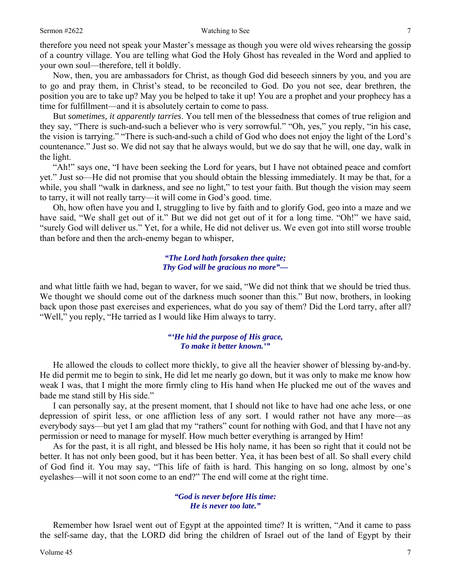therefore you need not speak your Master's message as though you were old wives rehearsing the gossip of a country village. You are telling what God the Holy Ghost has revealed in the Word and applied to your own soul—therefore, tell it boldly.

 Now, then, you are ambassadors for Christ, as though God did beseech sinners by you, and you are to go and pray them, in Christ's stead, to be reconciled to God. Do you not see, dear brethren, the position you are to take up? May you be helped to take it up! You are a prophet and your prophecy has a time for fulfillment—and it is absolutely certain to come to pass.

 But *sometimes, it apparently tarries*. You tell men of the blessedness that comes of true religion and they say, "There is such-and-such a believer who is very sorrowful." "Oh, yes," you reply, "in his case, the vision is tarrying." "There is such-and-such a child of God who does not enjoy the light of the Lord's countenance." Just so. We did not say that he always would, but we do say that he will, one day, walk in the light.

 "Ah!" says one, "I have been seeking the Lord for years, but I have not obtained peace and comfort yet." Just so—He did not promise that you should obtain the blessing immediately. It may be that, for a while, you shall "walk in darkness, and see no light," to test your faith. But though the vision may seem to tarry, it will not really tarry—it will come in God's good. time.

 Oh, how often have you and I, struggling to live by faith and to glorify God, geo into a maze and we have said, "We shall get out of it." But we did not get out of it for a long time. "Oh!" we have said, "surely God will deliver us." Yet, for a while, He did not deliver us. We even got into still worse trouble than before and then the arch-enemy began to whisper,

#### *"The Lord hath forsaken thee quite; Thy God will be gracious no more"—*

and what little faith we had, began to waver, for we said, "We did not think that we should be tried thus. We thought we should come out of the darkness much sooner than this." But now, brothers, in looking back upon those past exercises and experiences, what do you say of them? Did the Lord tarry, after all? "Well," you reply, "He tarried as I would like Him always to tarry.

### *"'He hid the purpose of His grace, To make it better known.'"*

 He allowed the clouds to collect more thickly, to give all the heavier shower of blessing by-and-by. He did permit me to begin to sink, He did let me nearly go down, but it was only to make me know how weak I was, that I might the more firmly cling to His hand when He plucked me out of the waves and bade me stand still by His side."

 I can personally say, at the present moment, that I should not like to have had one ache less, or one depression of spirit less, or one affliction less of any sort. I would rather not have any more—as everybody says—but yet I am glad that my "rathers" count for nothing with God, and that I have not any permission or need to manage for myself. How much better everything is arranged by Him!

 As for the past, it is all right, and blessed be His holy name, it has been so right that it could not be better. It has not only been good, but it has been better. Yea, it has been best of all. So shall every child of God find it. You may say, "This life of faith is hard. This hanging on so long, almost by one's eyelashes—will it not soon come to an end?" The end will come at the right time.

#### *"God is never before His time: He is never too late."*

 Remember how Israel went out of Egypt at the appointed time? It is written, "And it came to pass the self-same day, that the LORD did bring the children of Israel out of the land of Egypt by their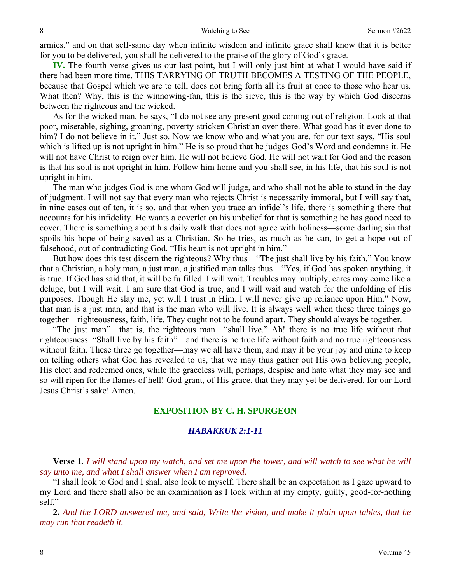armies," and on that self-same day when infinite wisdom and infinite grace shall know that it is better for you to be delivered, you shall be delivered to the praise of the glory of God's grace.

**IV.** The fourth verse gives us our last point, but I will only just hint at what I would have said if there had been more time. THIS TARRYING OF TRUTH BECOMES A TESTING OF THE PEOPLE, because that Gospel which we are to tell, does not bring forth all its fruit at once to those who hear us. What then? Why, this is the winnowing-fan, this is the sieve, this is the way by which God discerns between the righteous and the wicked.

 As for the wicked man, he says, "I do not see any present good coming out of religion. Look at that poor, miserable, sighing, groaning, poverty-stricken Christian over there. What good has it ever done to him? I do not believe in it." Just so. Now we know who and what you are, for our text says, "His soul which is lifted up is not upright in him." He is so proud that he judges God's Word and condemns it. He will not have Christ to reign over him. He will not believe God. He will not wait for God and the reason is that his soul is not upright in him. Follow him home and you shall see, in his life, that his soul is not upright in him.

 The man who judges God is one whom God will judge, and who shall not be able to stand in the day of judgment. I will not say that every man who rejects Christ is necessarily immoral, but I will say that, in nine cases out of ten, it is so, and that when you trace an infidel's life, there is something there that accounts for his infidelity. He wants a coverlet on his unbelief for that is something he has good need to cover. There is something about his daily walk that does not agree with holiness—some darling sin that spoils his hope of being saved as a Christian. So he tries, as much as he can, to get a hope out of falsehood, out of contradicting God. "His heart is not upright in him."

 But how does this test discern the righteous? Why thus—"The just shall live by his faith." You know that a Christian, a holy man, a just man, a justified man talks thus—"Yes, if God has spoken anything, it is true. If God has said that, it will be fulfilled. I will wait. Troubles may multiply, cares may come like a deluge, but I will wait. I am sure that God is true, and I will wait and watch for the unfolding of His purposes. Though He slay me, yet will I trust in Him. I will never give up reliance upon Him." Now, that man is a just man, and that is the man who will live. It is always well when these three things go together—righteousness, faith, life. They ought not to be found apart. They should always be together.

 "The just man"—that is, the righteous man—"shall live." Ah! there is no true life without that righteousness. "Shall live by his faith"—and there is no true life without faith and no true righteousness without faith. These three go together—may we all have them, and may it be your joy and mine to keep on telling others what God has revealed to us, that we may thus gather out His own believing people, His elect and redeemed ones, while the graceless will, perhaps, despise and hate what they may see and so will ripen for the flames of hell! God grant, of His grace, that they may yet be delivered, for our Lord Jesus Christ's sake! Amen.

### **EXPOSITION BY C. H. SPURGEON**

## *HABAKKUK 2:1-11*

**Verse 1***. I will stand upon my watch, and set me upon the tower, and will watch to see what he will say unto me, and what I shall answer when I am reproved.* 

 "I shall look to God and I shall also look to myself. There shall be an expectation as I gaze upward to my Lord and there shall also be an examination as I look within at my empty, guilty, good-for-nothing self."

**2.** *And the LORD answered me, and said, Write the vision, and make it plain upon tables, that he may run that readeth it.*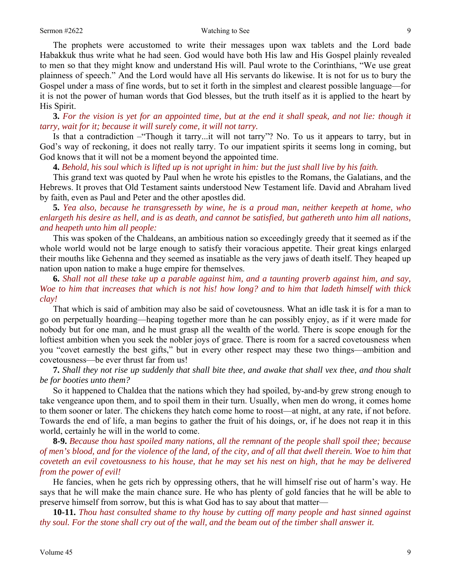The prophets were accustomed to write their messages upon wax tablets and the Lord bade Habakkuk thus write what he had seen. God would have both His law and His Gospel plainly revealed to men so that they might know and understand His will. Paul wrote to the Corinthians, "We use great plainness of speech." And the Lord would have all His servants do likewise. It is not for us to bury the Gospel under a mass of fine words, but to set it forth in the simplest and clearest possible language—for it is not the power of human words that God blesses, but the truth itself as it is applied to the heart by His Spirit.

**3.** *For the vision is yet for an appointed time, but at the end it shall speak, and not lie: though it tarry, wait for it; because it will surely come, it will not tarry.* 

 Is that a contradiction –"Though it tarry...it will not tarry"? No. To us it appears to tarry, but in God's way of reckoning, it does not really tarry. To our impatient spirits it seems long in coming, but God knows that it will not be a moment beyond the appointed time.

**4.** *Behold, his soul which is lifted up is not upright in him: but the just shall live by his faith.* 

 This grand text was quoted by Paul when he wrote his epistles to the Romans, the Galatians, and the Hebrews. It proves that Old Testament saints understood New Testament life. David and Abraham lived by faith, even as Paul and Peter and the other apostles did.

**5.** *Yea also, because he transgresseth by wine, he is a proud man, neither keepeth at home, who enlargeth his desire as hell, and is as death, and cannot be satisfied, but gathereth unto him all nations, and heapeth unto him all people:* 

 This was spoken of the Chaldeans, an ambitious nation so exceedingly greedy that it seemed as if the whole world would not be large enough to satisfy their voracious appetite. Their great kings enlarged their mouths like Gehenna and they seemed as insatiable as the very jaws of death itself. They heaped up nation upon nation to make a huge empire for themselves.

**6.** *Shall not all these take up a parable against him, and a taunting proverb against him, and say, Woe to him that increases that which is not his! how long? and to him that ladeth himself with thick clay!* 

 That which is said of ambition may also be said of covetousness. What an idle task it is for a man to go on perpetually hoarding—heaping together more than he can possibly enjoy, as if it were made for nobody but for one man, and he must grasp all the wealth of the world. There is scope enough for the loftiest ambition when you seek the nobler joys of grace. There is room for a sacred covetousness when you "covet earnestly the best gifts," but in every other respect may these two things—ambition and covetousness—be ever thrust far from us!

**7.** *Shall they not rise up suddenly that shall bite thee, and awake that shall vex thee, and thou shalt be for booties unto them?* 

 So it happened to Chaldea that the nations which they had spoiled, by-and-by grew strong enough to take vengeance upon them, and to spoil them in their turn. Usually, when men do wrong, it comes home to them sooner or later. The chickens they hatch come home to roost—at night, at any rate, if not before. Towards the end of life, a man begins to gather the fruit of his doings, or, if he does not reap it in this world, certainly he will in the world to come.

**8-9.** *Because thou hast spoiled many nations, all the remnant of the people shall spoil thee; because of men's blood, and for the violence of the land, of the city, and of all that dwell therein. Woe to him that coveteth an evil covetousness to his house, that he may set his nest on high, that he may be delivered from the power of evil!* 

 He fancies, when he gets rich by oppressing others, that he will himself rise out of harm's way. He says that he will make the main chance sure. He who has plenty of gold fancies that he will be able to preserve himself from sorrow, but this is what God has to say about that matter—

**10-11.** *Thou hast consulted shame to thy house by cutting off many people and hast sinned against thy soul. For the stone shall cry out of the wall, and the beam out of the timber shall answer it.*